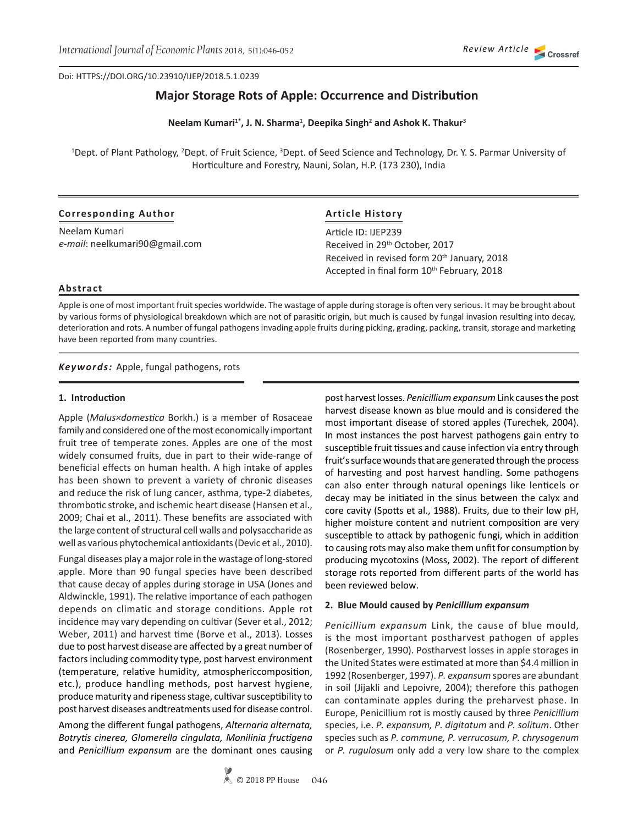Doi: HTTPS://DOI.ORG/10.23910/IJEP/2018.5.1.0239

# **Major Storage Rots of Apple: Occurrence and Distribution**

Neelam Kumari<sup>1\*</sup>, J. N. Sharma<sup>1</sup>, Deepika Singh<sup>2</sup> and Ashok K. Thakur<sup>3</sup>

<sup>1</sup>Dept. of Plant Pathology, <sup>2</sup>Dept. of Fruit Science, <sup>3</sup>Dept. of Seed Science and Technology, Dr. Y. S. Parmar University of Horticulture and Forestry, Nauni, Solan, H.P. (173 230), India

### **Corresponding Author**

Neelam Kumari *e-mail*: neelkumari90@gmail.com

# **Article History**

Article ID: IJEP239 Received in 29<sup>th</sup> October, 2017 Received in revised form 20<sup>th</sup> January, 2018 Accepted in final form 10<sup>th</sup> February, 2018

#### **Abstract**

Apple is one of most important fruit species worldwide. The wastage of apple during storage is often very serious. It may be brought about by various forms of physiological breakdown which are not of parasitic origin, but much is caused by fungal invasion resulting into decay, deterioration and rots. A number of fungal pathogens invading apple fruits during picking, grading, packing, transit, storage and marketing have been reported from many countries.

*Keywords:* Apple, fungal pathogens, rots

#### **1. Introduction**

Apple (*Malus×domestica* Borkh.) is a member of Rosaceae family and considered one of the most economically important fruit tree of temperate zones. Apples are one of the most widely consumed fruits, due in part to their wide-range of beneficial effects on human health. A high intake of apples has been shown to prevent a variety of chronic diseases and reduce the risk of lung cancer, asthma, type-2 diabetes, thrombotic stroke, and ischemic heart disease (Hansen et al., 2009; Chai et al., 2011). These benefits are associated with the large content of structural cell walls and polysaccharide as well as various phytochemical antioxidants (Devic et al., 2010).

Fungal diseases play a major role in the wastage of long-stored apple. More than 90 fungal species have been described that cause decay of apples during storage in USA (Jones and Aldwinckle, 1991). The relative importance of each pathogen depends on climatic and storage conditions. Apple rot incidence may vary depending on cultivar (Sever et al., 2012; Weber, 2011) and harvest time (Borve et al., 2013). Losses due to post harvest disease are affected by a great number of factors including commodity type, post harvest environment (temperature, relative humidity, atmosphericcomposition, etc.), produce handling methods, post harvest hygiene, produce maturity and ripeness stage, cultivar susceptibility to post harvest diseases andtreatments used for disease control.

Among the different fungal pathogens, *Alternaria alternata, Botrytis cinerea, Glomerella cingulata, Monilinia fructigena*  and *Penicillium expansum* are the dominant ones causing post harvest losses. *Penicillium expansum* Link causes the post harvest disease known as blue mould and is considered the most important disease of stored apples (Turechek, 2004). In most instances the post harvest pathogens gain entry to susceptible fruit tissues and cause infection via entry through fruit's surface wounds that are generated through the process of harvesting and post harvest handling. Some pathogens can also enter through natural openings like lenticels or decay may be initiated in the sinus between the calyx and core cavity (Spotts et al., 1988). Fruits, due to their low pH, higher moisture content and nutrient composition are very susceptible to attack by pathogenic fungi, which in addition to causing rots may also make them unfit for consumption by producing mycotoxins (Moss, 2002). The report of different storage rots reported from different parts of the world has been reviewed below.

### **2. Blue Mould caused by** *Penicillium expansum*

*Penicillium expansum* Link, the cause of blue mould, is the most important postharvest pathogen of apples (Rosenberger, 1990). Postharvest losses in apple storages in the United States were estimated at more than \$4.4 million in 1992 (Rosenberger, 1997). *P. expansum* spores are abundant in soil (Jijakli and Lepoivre, 2004); therefore this pathogen can contaminate apples during the preharvest phase. In Europe, Penicillium rot is mostly caused by three *Penicillium*  species, i.e. *P. expansum, P. digitatum* and *P. solitum*. Other species such as *P. commune, P. verrucosum, P. chrysogenum* or *P. rugulosum* only add a very low share to the complex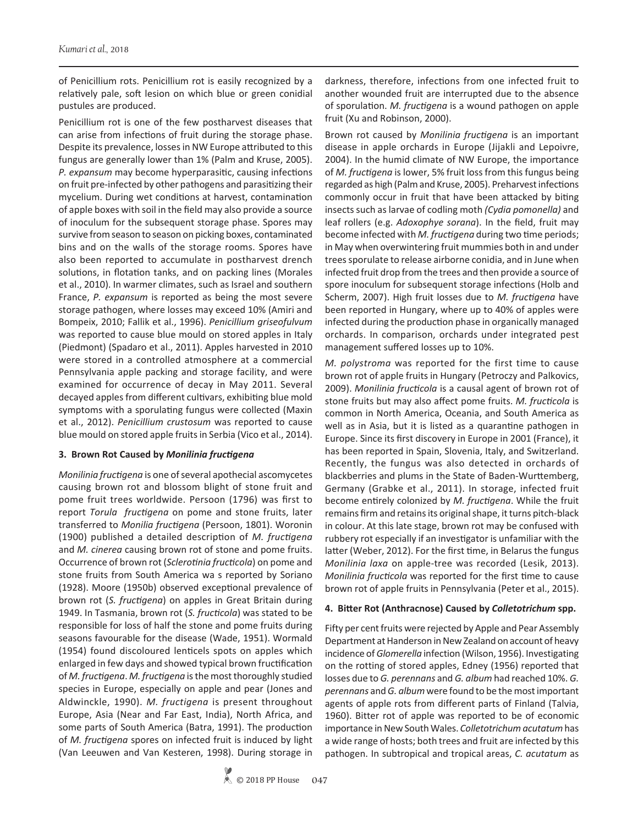of Penicillium rots. Penicillium rot is easily recognized by a relatively pale, soft lesion on which blue or green conidial pustules are produced.

Penicillium rot is one of the few postharvest diseases that can arise from infections of fruit during the storage phase. Despite its prevalence, losses in NW Europe attributed to this fungus are generally lower than 1% (Palm and Kruse, 2005). *P. expansum* may become hyperparasitic, causing infections on fruit pre-infected by other pathogens and parasitizing their mycelium. During wet conditions at harvest, contamination of apple boxes with soil in the field may also provide a source of inoculum for the subsequent storage phase. Spores may survive from season to season on picking boxes, contaminated bins and on the walls of the storage rooms. Spores have also been reported to accumulate in postharvest drench solutions, in flotation tanks, and on packing lines (Morales et al., 2010). In warmer climates, such as Israel and southern France, *P. expansum* is reported as being the most severe storage pathogen, where losses may exceed 10% (Amiri and Bompeix, 2010; Fallik et al., 1996). *Penicillium griseofulvum* was reported to cause blue mould on stored apples in Italy (Piedmont) (Spadaro et al., 2011). Apples harvested in 2010 were stored in a controlled atmosphere at a commercial Pennsylvania apple packing and storage facility, and were examined for occurrence of decay in May 2011. Several decayed apples from different cultivars, exhibiting blue mold symptoms with a sporulating fungus were collected (Maxin et al., 2012). *Penicillium crustosum* was reported to cause blue mould on stored apple fruits in Serbia (Vico et al., 2014).

### **3. Brown Rot Caused by** *Monilinia fructigena*

*Monilinia fructigena* is one of several apothecial ascomycetes causing brown rot and blossom blight of stone fruit and pome fruit trees worldwide. Persoon (1796) was first to report *Torula fructigena* on pome and stone fruits, later transferred to *Monilia fructigena* (Persoon, 1801). Woronin (1900) published a detailed description of *M. fructigena*  and *M. cinerea* causing brown rot of stone and pome fruits. Occurrence of brown rot (*Sclerotinia fructicola*) on pome and stone fruits from South America wa s reported by Soriano (1928). Moore (1950b) observed exceptional prevalence of brown rot (*S. fructigena*) on apples in Great Britain during 1949. In Tasmania, brown rot (*S. fructicola*) was stated to be responsible for loss of half the stone and pome fruits during seasons favourable for the disease (Wade, 1951). Wormald (1954) found discoloured lenticels spots on apples which enlarged in few days and showed typical brown fructification of *M. fructigena*. *M. fructigena* is the most thoroughly studied species in Europe, especially on apple and pear (Jones and Aldwinckle, 1990). *M. fructigena* is present throughout Europe, Asia (Near and Far East, India), North Africa, and some parts of South America (Batra, 1991). The production of *M. fructigena* spores on infected fruit is induced by light (Van Leeuwen and Van Kesteren, 1998). During storage in

darkness, therefore, infections from one infected fruit to another wounded fruit are interrupted due to the absence of sporulation. *M. fructigena* is a wound pathogen on apple fruit (Xu and Robinson, 2000).

Brown rot caused by *Monilinia fructigena* is an important disease in apple orchards in Europe (Jijakli and Lepoivre, 2004). In the humid climate of NW Europe, the importance of *M. fructigena* is lower, 5% fruit loss from this fungus being regarded as high (Palm and Kruse, 2005). Preharvest infections commonly occur in fruit that have been attacked by biting insects such as larvae of codling moth *(Cydia pomonella)* and leaf rollers (e.g. *Adoxophye sorana*). In the field, fruit may become infected with *M. fructigena* during two time periods; in May when overwintering fruit mummies both in and under trees sporulate to release airborne conidia, and in June when infected fruit drop from the trees and then provide a source of spore inoculum for subsequent storage infections (Holb and Scherm, 2007). High fruit losses due to *M. fructigena* have been reported in Hungary, where up to 40% of apples were infected during the production phase in organically managed orchards. In comparison, orchards under integrated pest management suffered losses up to 10%.

*M. polystroma* was reported for the first time to cause brown rot of apple fruits in Hungary (Petroczy and Palkovics, 2009). *Monilinia fructicola* is a causal agent of brown rot of stone fruits but may also affect pome fruits. *M. fructicola* is common in North America, Oceania, and South America as well as in Asia, but it is listed as a quarantine pathogen in Europe. Since its first discovery in Europe in 2001 (France), it has been reported in Spain, Slovenia, Italy, and Switzerland. Recently, the fungus was also detected in orchards of blackberries and plums in the State of Baden-Wurttemberg, Germany (Grabke et al., 2011). In storage, infected fruit become entirely colonized by *M. fructigena*. While the fruit remains firm and retains its original shape, it turns pitch-black in colour. At this late stage, brown rot may be confused with rubbery rot especially if an investigator is unfamiliar with the latter (Weber, 2012). For the first time, in Belarus the fungus *Monilinia laxa* on apple-tree was recorded (Lesik, 2013). *Monilinia fructicola* was reported for the first time to cause brown rot of apple fruits in Pennsylvania (Peter et al., 2015).

### **4. Bitter Rot (Anthracnose) Caused by** *Colletotrichum* **spp.**

Fifty per cent fruits were rejected by Apple and Pear Assembly Department at Handerson in New Zealand on account of heavy incidence of *Glomerella* infection (Wilson, 1956). Investigating on the rotting of stored apples, Edney (1956) reported that losses due to *G. perennans* and *G. album* had reached 10%. *G. perennans* and *G. album* were found to be the most important agents of apple rots from different parts of Finland (Talvia, 1960). Bitter rot of apple was reported to be of economic importance in New South Wales. *Colletotrichum acutatum* has a wide range of hosts; both trees and fruit are infected by this pathogen. In subtropical and tropical areas, *C. acutatum* as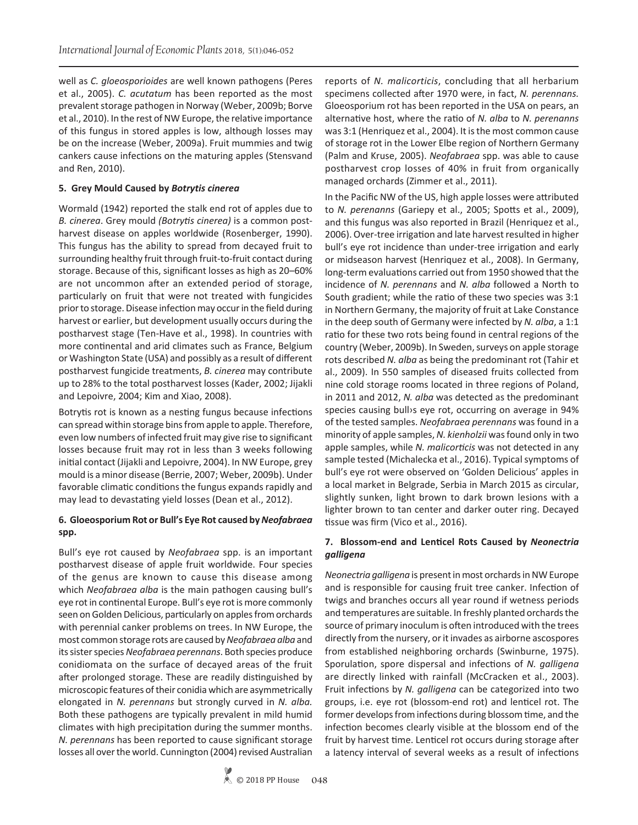well as *C. gloeosporioides* are well known pathogens (Peres et al., 2005). *C. acutatum* has been reported as the most prevalent storage pathogen in Norway (Weber, 2009b; Borve et al., 2010). In the rest of NW Europe, the relative importance of this fungus in stored apples is low, although losses may be on the increase (Weber, 2009a). Fruit mummies and twig cankers cause infections on the maturing apples (Stensvand and Ren, 2010).

## **5. Grey Mould Caused by** *Botrytis cinerea*

Wormald (1942) reported the stalk end rot of apples due to *B. cinerea*. Grey mould *(Botrytis cinerea)* is a common postharvest disease on apples worldwide (Rosenberger, 1990). This fungus has the ability to spread from decayed fruit to surrounding healthy fruit through fruit-to-fruit contact during storage. Because of this, significant losses as high as 20–60% are not uncommon after an extended period of storage, particularly on fruit that were not treated with fungicides prior to storage. Disease infection may occur in the field during harvest or earlier, but development usually occurs during the postharvest stage (Ten-Have et al., 1998). In countries with more continental and arid climates such as France, Belgium or Washington State (USA) and possibly as a result of different postharvest fungicide treatments, *B. cinerea* may contribute up to 28% to the total postharvest losses (Kader, 2002; Jijakli and Lepoivre, 2004; Kim and Xiao, 2008).

Botrytis rot is known as a nesting fungus because infections can spread within storage bins from apple to apple. Therefore, even low numbers of infected fruit may give rise to significant losses because fruit may rot in less than 3 weeks following initial contact (Jijakli and Lepoivre, 2004). In NW Europe, grey mould is a minor disease (Berrie, 2007; Weber, 2009b). Under favorable climatic conditions the fungus expands rapidly and may lead to devastating yield losses (Dean et al., 2012).

# **6. Gloeosporium Rot or Bull's Eye Rot caused by** *Neofabraea* **spp.**

Bull's eye rot caused by *Neofabraea* spp. is an important postharvest disease of apple fruit worldwide. Four species of the genus are known to cause this disease among which *Neofabraea alba* is the main pathogen causing bull's eye rot in continental Europe. Bull's eye rot is more commonly seen on Golden Delicious, particularly on apples from orchards with perennial canker problems on trees. In NW Europe, the most common storage rots are caused by *Neofabraea alba* and its sister species *Neofabraea perennans*. Both species produce conidiomata on the surface of decayed areas of the fruit after prolonged storage. These are readily distinguished by microscopic features of their conidia which are asymmetrically elongated in *N. perennans* but strongly curved in *N. alba.* Both these pathogens are typically prevalent in mild humid climates with high precipitation during the summer months. *N. perennans* has been reported to cause significant storage losses all over the world. Cunnington (2004) revised Australian

reports of *N. malicorticis*, concluding that all herbarium specimens collected after 1970 were, in fact, *N. perennans.*  Gloeosporium rot has been reported in the USA on pears, an alternative host, where the ratio of *N. alba* to *N. perenanns* was 3:1 (Henriquez et al., 2004). It is the most common cause of storage rot in the Lower Elbe region of Northern Germany (Palm and Kruse, 2005). *Neofabraea* spp. was able to cause postharvest crop losses of 40% in fruit from organically managed orchards (Zimmer et al., 2011).

In the Pacific NW of the US, high apple losses were attributed to *N. perenanns* (Gariepy et al., 2005; Spotts et al., 2009), and this fungus was also reported in Brazil (Henriquez et al., 2006). Over-tree irrigation and late harvest resulted in higher bull's eye rot incidence than under-tree irrigation and early or midseason harvest (Henriquez et al., 2008). In Germany, long-term evaluations carried out from 1950 showed that the incidence of *N. perennans* and *N. alba* followed a North to South gradient; while the ratio of these two species was 3:1 in Northern Germany, the majority of fruit at Lake Constance in the deep south of Germany were infected by *N. alba*, a 1:1 ratio for these two rots being found in central regions of the country (Weber, 2009b). In Sweden, surveys on apple storage rots described *N. alba* as being the predominant rot (Tahir et al., 2009). In 550 samples of diseased fruits collected from nine cold storage rooms located in three regions of Poland, in 2011 and 2012, *N. alba* was detected as the predominant species causing bull›s eye rot, occurring on average in 94% of the tested samples. *Neofabraea perennans* was found in a minority of apple samples, *N. kienholzii* was found only in two apple samples, while *N. malicorticis* was not detected in any sample tested (Michalecka et al., 2016). Typical symptoms of bull's eye rot were observed on 'Golden Delicious' apples in a local market in Belgrade, Serbia in March 2015 as circular, slightly sunken, light brown to dark brown lesions with a lighter brown to tan center and darker outer ring. Decayed tissue was firm (Vico et al., 2016).

# **7. Blossom-end and Lenticel Rots Caused by** *Neonectria galligena*

*Neonectria galligena* is present in most orchards in NW Europe and is responsible for causing fruit tree canker. Infection of twigs and branches occurs all year round if wetness periods and temperatures are suitable. In freshly planted orchards the source of primary inoculum is often introduced with the trees directly from the nursery, or it invades as airborne ascospores from established neighboring orchards (Swinburne, 1975). Sporulation, spore dispersal and infections of *N. galligena*  are directly linked with rainfall (McCracken et al., 2003). Fruit infections by *N. galligena* can be categorized into two groups, i.e. eye rot (blossom-end rot) and lenticel rot. The former develops from infections during blossom time, and the infection becomes clearly visible at the blossom end of the fruit by harvest time. Lenticel rot occurs during storage after a latency interval of several weeks as a result of infections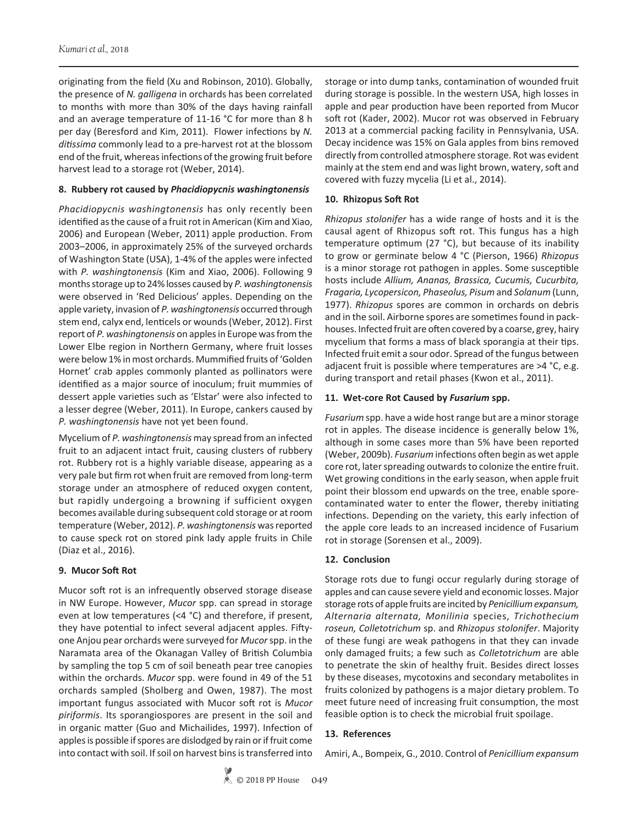originating from the field (Xu and Robinson, 2010). Globally, the presence of *N. galligena* in orchards has been correlated to months with more than 30% of the days having rainfall and an average temperature of 11-16 °C for more than 8 h per day (Beresford and Kim, 2011). Flower infections by *N. ditissima* commonly lead to a pre-harvest rot at the blossom end of the fruit, whereas infections of the growing fruit before harvest lead to a storage rot (Weber, 2014).

#### **8. Rubbery rot caused by** *Phacidiopycnis washingtonensis*

*Phacidiopycnis washingtonensis* has only recently been identified as the cause of a fruit rot in American (Kim and Xiao, 2006) and European (Weber, 2011) apple production. From 2003–2006, in approximately 25% of the surveyed orchards of Washington State (USA), 1-4% of the apples were infected with *P. washingtonensis* (Kim and Xiao, 2006). Following 9 months storage up to 24% losses caused by *P. washingtonensis* were observed in 'Red Delicious' apples. Depending on the apple variety, invasion of *P. washingtonensis* occurred through stem end, calyx end, lenticels or wounds (Weber, 2012). First report of *P. washingtonensis* on apples in Europe was from the Lower Elbe region in Northern Germany, where fruit losses were below 1% in most orchards. Mummified fruits of 'Golden Hornet' crab apples commonly planted as pollinators were identified as a major source of inoculum; fruit mummies of dessert apple varieties such as 'Elstar' were also infected to a lesser degree (Weber, 2011). In Europe, cankers caused by *P. washingtonensis* have not yet been found.

Mycelium of *P. washingtonensis* may spread from an infected fruit to an adjacent intact fruit, causing clusters of rubbery rot. Rubbery rot is a highly variable disease, appearing as a very pale but firm rot when fruit are removed from long-term storage under an atmosphere of reduced oxygen content, but rapidly undergoing a browning if sufficient oxygen becomes available during subsequent cold storage or at room temperature (Weber, 2012). *P. washingtonensis* was reported to cause speck rot on stored pink lady apple fruits in Chile (Diaz et al., 2016).

### **9. Mucor Soft Rot**

Mucor soft rot is an infrequently observed storage disease in NW Europe. However, *Mucor* spp. can spread in storage even at low temperatures (<4 °C) and therefore, if present, they have potential to infect several adjacent apples. Fiftyone Anjou pear orchards were surveyed for *Mucor* spp. in the Naramata area of the Okanagan Valley of British Columbia by sampling the top 5 cm of soil beneath pear tree canopies within the orchards. *Mucor* spp. were found in 49 of the 51 orchards sampled (Sholberg and Owen, 1987). The most important fungus associated with Mucor soft rot is *Mucor piriformis*. Its sporangiospores are present in the soil and in organic matter (Guo and Michailides, 1997). Infection of apples is possible if spores are dislodged by rain or if fruit come into contact with soil. If soil on harvest bins is transferred into

storage or into dump tanks, contamination of wounded fruit during storage is possible. In the western USA, high losses in apple and pear production have been reported from Mucor soft rot (Kader, 2002). Mucor rot was observed in February 2013 at a commercial packing facility in Pennsylvania, USA. Decay incidence was 15% on Gala apples from bins removed directly from controlled atmosphere storage. Rot was evident mainly at the stem end and was light brown, watery, soft and covered with fuzzy mycelia (Li et al., 2014).

## **10. Rhizopus Soft Rot**

*Rhizopus stolonifer* has a wide range of hosts and it is the causal agent of Rhizopus soft rot. This fungus has a high temperature optimum (27 °C), but because of its inability to grow or germinate below 4 °C (Pierson, 1966) *Rhizopus* is a minor storage rot pathogen in apples. Some susceptible hosts include *Allium, Ananas, Brassica, Cucumis, Cucurbita, Fragaria, Lycopersicon, Phaseolus, Pisum* and *Solanum* (Lunn, 1977). *Rhizopus* spores are common in orchards on debris and in the soil. Airborne spores are sometimes found in packhouses. Infected fruit are often covered by a coarse, grey, hairy mycelium that forms a mass of black sporangia at their tips. Infected fruit emit a sour odor. Spread of the fungus between adjacent fruit is possible where temperatures are >4 °C, e.g. during transport and retail phases (Kwon et al., 2011).

### **11. Wet-core Rot Caused by** *Fusarium* **spp.**

*Fusarium* spp. have a wide host range but are a minor storage rot in apples. The disease incidence is generally below 1%, although in some cases more than 5% have been reported (Weber, 2009b). *Fusarium* infections often begin as wet apple core rot, later spreading outwards to colonize the entire fruit. Wet growing conditions in the early season, when apple fruit point their blossom end upwards on the tree, enable sporecontaminated water to enter the flower, thereby initiating infections. Depending on the variety, this early infection of the apple core leads to an increased incidence of Fusarium rot in storage (Sorensen et al., 2009).

### **12. Conclusion**

Storage rots due to fungi occur regularly during storage of apples and can cause severe yield and economic losses. Major storage rots of apple fruits are incited by *Penicillium expansum, Alternaria alternata, Monilinia* species, *Trichothecium roseun, Colletotrichum* sp. and *Rhizopus stolonifer*. Majority of these fungi are weak pathogens in that they can invade only damaged fruits; a few such as *Colletotrichum* are able to penetrate the skin of healthy fruit. Besides direct losses by these diseases, mycotoxins and secondary metabolites in fruits colonized by pathogens is a major dietary problem. To meet future need of increasing fruit consumption, the most feasible option is to check the microbial fruit spoilage.

### **13. References**

Amiri, A., Bompeix, G., 2010. Control of *Penicillium expansum*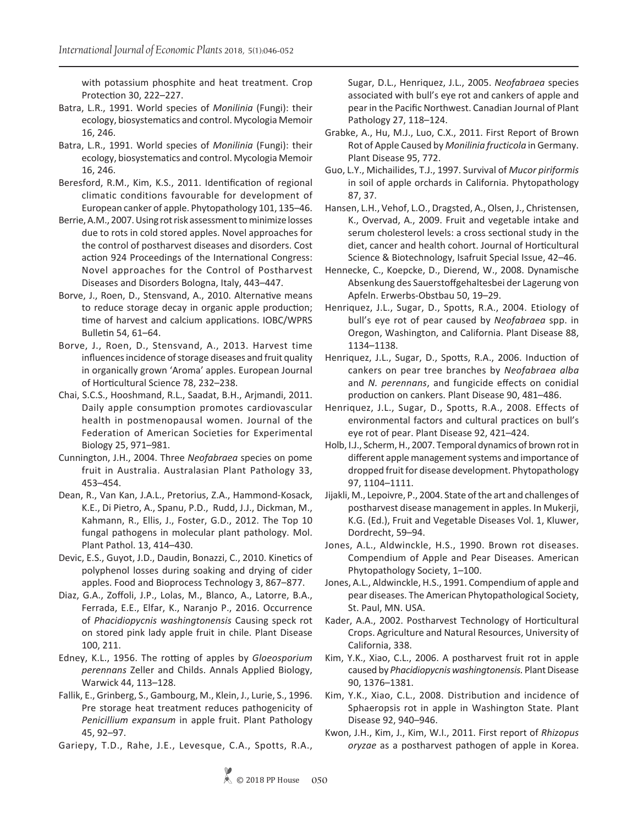with potassium phosphite and heat treatment. Crop Protection 30, 222–227.

- Batra, L.R., 1991. World species of *Monilinia* (Fungi): their ecology, biosystematics and control. Mycologia Memoir 16, 246.
- Batra, L.R., 1991. World species of *Monilinia* (Fungi): their ecology, biosystematics and control. Mycologia Memoir 16, 246.
- Beresford, R.M., Kim, K.S., 2011. Identification of regional climatic conditions favourable for development of European canker of apple. Phytopathology 101, 135–46.
- Berrie, A.M., 2007. Using rot risk assessment to minimize losses due to rots in cold stored apples. Novel approaches for the control of postharvest diseases and disorders. Cost action 924 Proceedings of the International Congress: Novel approaches for the Control of Postharvest Diseases and Disorders Bologna, Italy, 443–447.
- Borve, J., Roen, D., Stensvand, A., 2010. Alternative means to reduce storage decay in organic apple production; time of harvest and calcium applications. IOBC/WPRS Bulletin 54, 61–64.
- Borve, J., Roen, D., Stensvand, A., 2013. Harvest time influences incidence of storage diseases and fruit quality in organically grown 'Aroma' apples. European Journal of Horticultural Science 78, 232–238.
- Chai, S.C.S., Hooshmand, R.L., Saadat, B.H., Arjmandi, 2011. Daily apple consumption promotes cardiovascular health in postmenopausal women. Journal of the Federation of American Societies for Experimental Biology 25, 971–981.
- Cunnington, J.H., 2004. Three *Neofabraea* species on pome fruit in Australia. Australasian Plant Pathology 33, 453–454.
- Dean, R., Van Kan, J.A.L., Pretorius, Z.A., Hammond-Kosack, K.E., Di Pietro, A., Spanu, P.D., Rudd, J.J., Dickman, M., Kahmann, R., Ellis, J., Foster, G.D., 2012. The Top 10 fungal pathogens in molecular plant pathology. Mol. Plant Pathol. 13, 414–430.
- Devic, E.S., Guyot, J.D., Daudin, Bonazzi, C., 2010. Kinetics of polyphenol losses during soaking and drying of cider apples. Food and Bioprocess Technology 3, 867–877.
- Diaz, G.A., Zoffoli, J.P., Lolas, M., Blanco, A., Latorre, B.A., Ferrada, E.E., Elfar, K., Naranjo P., 2016. Occurrence of *Phacidiopycnis washingtonensis* Causing speck rot on stored pink lady apple fruit in chile. Plant Disease 100, 211.
- Edney, K.L., 1956. The rotting of apples by *Gloeosporium perennans* Zeller and Childs. Annals Applied Biology, Warwick 44, 113–128.
- Fallik, E., Grinberg, S., Gambourg, M., Klein, J., Lurie, S., 1996. Pre storage heat treatment reduces pathogenicity of *Penicillium expansum* in apple fruit. Plant Pathology 45, 92–97.
- Gariepy, T.D., Rahe, J.E., Levesque, C.A., Spotts, R.A.,

Sugar, D.L., Henriquez, J.L., 2005. *Neofabraea* species associated with bull's eye rot and cankers of apple and pear in the Pacific Northwest. Canadian Journal of Plant Pathology 27, 118–124.

- Grabke, A., Hu, M.J., Luo, C.X., 2011. First Report of Brown Rot of Apple Caused by *Monilinia fructicola* in Germany. Plant Disease 95, 772.
- Guo, L.Y., Michailides, T.J., 1997. Survival of *Mucor piriformis* in soil of apple orchards in California. Phytopathology 87, 37.
- Hansen, L.H., Vehof, L.O., Dragsted, A., Olsen, J., Christensen, K., Overvad, A., 2009. Fruit and vegetable intake and serum cholesterol levels: a cross sectional study in the diet, cancer and health cohort. Journal of Horticultural Science & Biotechnology, Isafruit Special Issue, 42–46.
- Hennecke, C., Koepcke, D., Dierend, W., 2008. Dynamische Absenkung des Sauerstoffgehaltesbei der Lagerung von Apfeln. Erwerbs-Obstbau 50, 19–29.
- Henriquez, J.L., Sugar, D., Spotts, R.A., 2004. Etiology of bull's eye rot of pear caused by *Neofabraea* spp. in Oregon, Washington, and California. Plant Disease 88, 1134–1138.
- Henriquez, J.L., Sugar, D., Spotts, R.A., 2006. Induction of cankers on pear tree branches by *Neofabraea alba* and *N. perennans*, and fungicide effects on conidial production on cankers. Plant Disease 90, 481–486.
- Henriquez, J.L., Sugar, D., Spotts, R.A., 2008. Effects of environmental factors and cultural practices on bull's eye rot of pear. Plant Disease 92, 421–424.
- Holb, I.J., Scherm, H., 2007. Temporal dynamics of brown rot in different apple management systems and importance of dropped fruit for disease development. Phytopathology 97, 1104–1111.
- Jijakli, M., Lepoivre, P., 2004. State of the art and challenges of postharvest disease management in apples. In Mukerji, K.G. (Ed.), Fruit and Vegetable Diseases Vol. 1, Kluwer, Dordrecht, 59–94.
- Jones, A.L., Aldwinckle, H.S., 1990. Brown rot diseases. Compendium of Apple and Pear Diseases. American Phytopathology Society, 1–100.
- Jones, A.L., Aldwinckle, H.S., 1991. Compendium of apple and pear diseases. The American Phytopathological Society, St. Paul, MN. USA.
- Kader, A.A., 2002. Postharvest Technology of Horticultural Crops. Agriculture and Natural Resources, University of California, 338.
- Kim, Y.K., Xiao, C.L., 2006. A postharvest fruit rot in apple caused by *Phacidiopycnis washingtonensis.* Plant Disease 90, 1376–1381.
- Kim, Y.K., Xiao, C.L., 2008. Distribution and incidence of Sphaeropsis rot in apple in Washington State. Plant Disease 92, 940–946.
- Kwon, J.H., Kim, J., Kim, W.I., 2011. First report of *Rhizopus oryzae* as a postharvest pathogen of apple in Korea.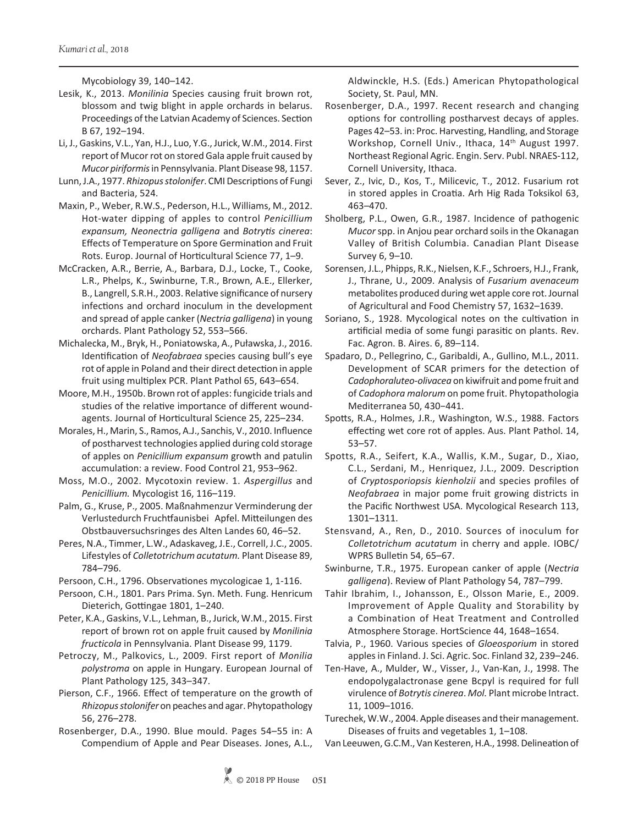Mycobiology 39, 140–142.

- Lesik, K., 2013. *Monilinia* Species causing fruit brown rot, blossom and twig blight in apple orchards in belarus. Proceedings of the Latvian Academy of Sciences. Section B 67, 192–194.
- Li, J., Gaskins, V.L., Yan, H.J., Luo, Y.G., Jurick, W.M., 2014. First report of Mucor rot on stored Gala apple fruit caused by *Mucor piriformis* in Pennsylvania. Plant Disease 98, 1157.
- Lunn, J.A., 1977. *Rhizopus stolonifer*. CMI Descriptions of Fungi and Bacteria, 524.
- Maxin, P., Weber, R.W.S., Pederson, H.L., Williams, M., 2012. Hot-water dipping of apples to control *Penicillium expansum, Neonectria galligena* and *Botrytis cinerea*: Effects of Temperature on Spore Germination and Fruit Rots. Europ. Journal of Horticultural Science 77, 1–9.
- McCracken, A.R., Berrie, A., Barbara, D.J., Locke, T., Cooke, L.R., Phelps, K., Swinburne, T.R., Brown, A.E., Ellerker, B., Langrell, S.R.H., 2003. Relative significance of nursery infections and orchard inoculum in the development and spread of apple canker (*Nectria galligena*) in young orchards. Plant Pathology 52, 553–566.
- Michalecka, M., Bryk, H., Poniatowska, A., Puławska, J., 2016. Identification of *Neofabraea* species causing bull's eye rot of apple in Poland and their direct detection in apple fruit using multiplex PCR. Plant Pathol 65, 643–654.
- Moore, M.H., 1950b. Brown rot of apples: fungicide trials and studies of the relative importance of different woundagents. Journal of Horticultural Science 25, 225–234.
- Morales, H., Marin, S., Ramos, A.J., Sanchis, V., 2010. Influence of postharvest technologies applied during cold storage of apples on *Penicillium expansum* growth and patulin accumulation: a review. Food Control 21, 953–962.
- Moss, M.O., 2002. Mycotoxin review. 1. *Aspergillus* and *Penicillium.* Mycologist 16, 116–119.
- Palm, G., Kruse, P., 2005. Maßnahmenzur Verminderung der Verlustedurch Fruchtfaunisbei Apfel. Mitteilungen des Obstbauversuchsringes des Alten Landes 60, 46–52.
- Peres, N.A., Timmer, L.W., Adaskaveg, J.E., Correll, J.C., 2005. Lifestyles of *Colletotrichum acutatum.* Plant Disease 89, 784–796.
- Persoon, C.H., 1796. Observationes mycologicae 1, 1-116.
- Persoon, C.H., 1801. Pars Prima. Syn. Meth. Fung. Henricum Dieterich, Gottingae 1801, 1–240.
- Peter, K.A., Gaskins, V.L., Lehman, B., Jurick, W.M., 2015. First report of brown rot on apple fruit caused by *Monilinia fructicola* in Pennsylvania. Plant Disease 99, 1179.
- Petroczy, M., Palkovics, L., 2009. First report of *Monilia polystroma* on apple in Hungary. European Journal of Plant Pathology 125, 343–347.
- Pierson, C.F., 1966. Effect of temperature on the growth of *Rhizopus stolonifer* on peaches and agar. Phytopathology 56, 276–278.
- Rosenberger, D.A., 1990. Blue mould. Pages 54–55 in: A Compendium of Apple and Pear Diseases. Jones, A.L.,

Aldwinckle, H.S. (Eds.) American Phytopathological Society, St. Paul, MN.

- Rosenberger, D.A., 1997. Recent research and changing options for controlling postharvest decays of apples. Pages 42–53. in: Proc. Harvesting, Handling, and Storage Workshop, Cornell Univ., Ithaca, 14<sup>th</sup> August 1997. Northeast Regional Agric. Engin. Serv. Publ. NRAES-112, Cornell University, Ithaca.
- Sever, Z., Ivic, D., Kos, T., Milicevic, T., 2012. Fusarium rot in stored apples in Croatia. Arh Hig Rada Toksikol 63, 463–470.
- Sholberg, P.L., Owen, G.R., 1987. Incidence of pathogenic *Mucor* spp. in Anjou pear orchard soils in the Okanagan Valley of British Columbia. Canadian Plant Disease Survey 6, 9–10.
- Sorensen, J.L., Phipps, R.K., Nielsen, K.F., Schroers, H.J., Frank, J., Thrane, U., 2009. Analysis of *Fusarium avenaceum* metabolites produced during wet apple core rot. Journal of Agricultural and Food Chemistry 57, 1632–1639.
- Soriano, S., 1928. Mycological notes on the cultivation in artificial media of some fungi parasitic on plants. Rev. Fac. Agron. B. Aires. 6, 89–114.
- Spadaro, D., Pellegrino, C., Garibaldi, A., Gullino, M.L., 2011. Development of SCAR primers for the detection of *Cadophoraluteo-olivacea* on kiwifruit and pome fruit and of *Cadophora malorum* on pome fruit. Phytopathologia Mediterranea 50, 430−441.
- Spotts, R.A., Holmes, J.R., Washington, W.S., 1988. Factors effecting wet core rot of apples. Aus. Plant Pathol. 14, 53–57.
- Spotts, R.A., Seifert, K.A., Wallis, K.M., Sugar, D., Xiao, C.L., Serdani, M., Henriquez, J.L., 2009. Description of *Cryptosporiopsis kienholzii* and species profiles of *Neofabraea* in major pome fruit growing districts in the Pacific Northwest USA. Mycological Research 113, 1301–1311.
- Stensvand, A., Ren, D., 2010. Sources of inoculum for *Colletotrichum acutatum* in cherry and apple. IOBC/ WPRS Bulletin 54, 65–67.
- Swinburne, T.R., 1975. European canker of apple (*Nectria galligena*). Review of Plant Pathology 54, 787–799.
- Tahir Ibrahim, I., Johansson, E., Olsson Marie, E., 2009. Improvement of Apple Quality and Storability by a Combination of Heat Treatment and Controlled Atmosphere Storage. HortScience 44, 1648–1654.
- Talvia, P., 1960. Various species of *Gloeosporium* in stored apples in Finland. J. Sci. Agric. Soc. Finland 32, 239–246.
- Ten-Have, A., Mulder, W., Visser, J., Van-Kan, J., 1998. The endopolygalactronase gene Bcpyl is required for full virulence of *Botrytis cinerea*. *Mol.* Plant microbe Intract. 11, 1009–1016.
- Turechek, W.W., 2004. Apple diseases and their management. Diseases of fruits and vegetables 1, 1–108.
- Van Leeuwen, G.C.M., Van Kesteren, H.A., 1998. Delineation of